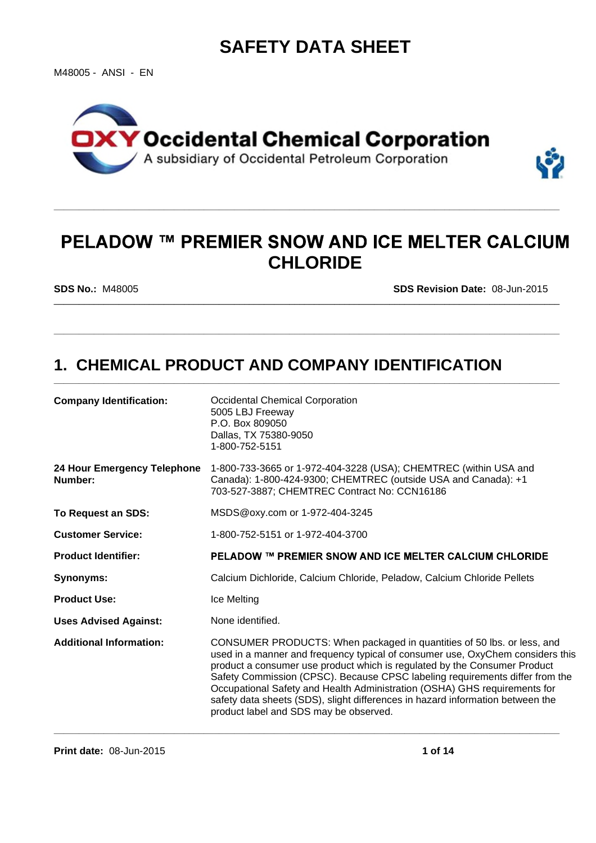# **SAFETY DATA SHEET**

M48005 - ANSI - EN





**\_\_\_\_\_\_\_\_\_\_\_\_\_\_\_\_\_\_\_\_\_\_\_\_\_\_\_\_\_\_\_\_\_\_\_\_\_\_\_\_\_\_\_\_\_\_\_\_\_\_\_\_\_\_\_\_\_\_\_\_\_\_\_\_\_\_\_\_\_\_\_\_\_\_\_\_\_\_\_\_\_\_\_\_\_\_\_\_\_\_\_\_\_\_\_\_\_\_\_\_\_**

\_\_\_\_\_\_\_\_\_\_\_\_\_\_\_\_\_\_\_\_\_\_\_\_\_\_\_\_\_\_\_\_\_\_\_\_\_\_\_\_\_\_\_\_\_\_\_\_\_\_\_\_\_\_\_\_\_\_\_\_\_\_\_\_\_\_\_\_\_\_\_\_\_\_\_\_\_\_\_\_\_\_\_\_\_\_\_\_\_\_\_\_\_\_\_\_\_\_\_\_\_

**\_\_\_\_\_\_\_\_\_\_\_\_\_\_\_\_\_\_\_\_\_\_\_\_\_\_\_\_\_\_\_\_\_\_\_\_\_\_\_\_\_\_\_\_\_\_\_\_\_\_\_\_\_\_\_\_\_\_\_\_\_\_\_\_\_\_\_\_\_\_\_\_\_\_\_\_\_\_\_\_\_\_\_\_\_\_\_\_\_\_\_\_\_\_\_\_\_\_\_\_\_**

**\_\_\_\_\_\_\_\_\_\_\_\_\_\_\_\_\_\_\_\_\_\_\_\_\_\_\_\_\_\_\_\_\_\_\_\_\_\_\_\_\_\_\_\_\_\_\_\_\_\_\_\_\_\_\_\_\_\_\_\_\_\_\_\_\_\_\_\_\_\_\_\_\_\_\_\_\_\_\_\_\_\_\_\_\_\_\_\_\_\_\_\_\_\_\_\_\_\_\_\_\_**

**SDS No.:** M48005

**SDS Revision Date:** 08-Jun-2015

# **1. CHEMICAL PRODUCT AND COMPANY IDENTIFICATION**

| <b>Company Identification:</b>         | <b>Occidental Chemical Corporation</b><br>5005 LBJ Freeway<br>P.O. Box 809050<br>Dallas, TX 75380-9050<br>1-800-752-5151                                                                                                                                                                                                                                                                                                                                                                                                       |
|----------------------------------------|--------------------------------------------------------------------------------------------------------------------------------------------------------------------------------------------------------------------------------------------------------------------------------------------------------------------------------------------------------------------------------------------------------------------------------------------------------------------------------------------------------------------------------|
| 24 Hour Emergency Telephone<br>Number: | 1-800-733-3665 or 1-972-404-3228 (USA); CHEMTREC (within USA and<br>Canada): 1-800-424-9300; CHEMTREC (outside USA and Canada): +1<br>703-527-3887; CHEMTREC Contract No: CCN16186                                                                                                                                                                                                                                                                                                                                             |
| To Request an SDS:                     | MSDS@oxy.com or 1-972-404-3245                                                                                                                                                                                                                                                                                                                                                                                                                                                                                                 |
| <b>Customer Service:</b>               | 1-800-752-5151 or 1-972-404-3700                                                                                                                                                                                                                                                                                                                                                                                                                                                                                               |
| <b>Product Identifier:</b>             | <b>PELADOW ™ PREMIER SNOW AND ICE MELTER CALCIUM CHLORIDE</b>                                                                                                                                                                                                                                                                                                                                                                                                                                                                  |
| <b>Synonyms:</b>                       | Calcium Dichloride, Calcium Chloride, Peladow, Calcium Chloride Pellets                                                                                                                                                                                                                                                                                                                                                                                                                                                        |
| <b>Product Use:</b>                    | Ice Melting                                                                                                                                                                                                                                                                                                                                                                                                                                                                                                                    |
| <b>Uses Advised Against:</b>           | None identified.                                                                                                                                                                                                                                                                                                                                                                                                                                                                                                               |
| <b>Additional Information:</b>         | CONSUMER PRODUCTS: When packaged in quantities of 50 lbs. or less, and<br>used in a manner and frequency typical of consumer use, OxyChem considers this<br>product a consumer use product which is regulated by the Consumer Product<br>Safety Commission (CPSC). Because CPSC labeling requirements differ from the<br>Occupational Safety and Health Administration (OSHA) GHS requirements for<br>safety data sheets (SDS), slight differences in hazard information between the<br>product label and SDS may be observed. |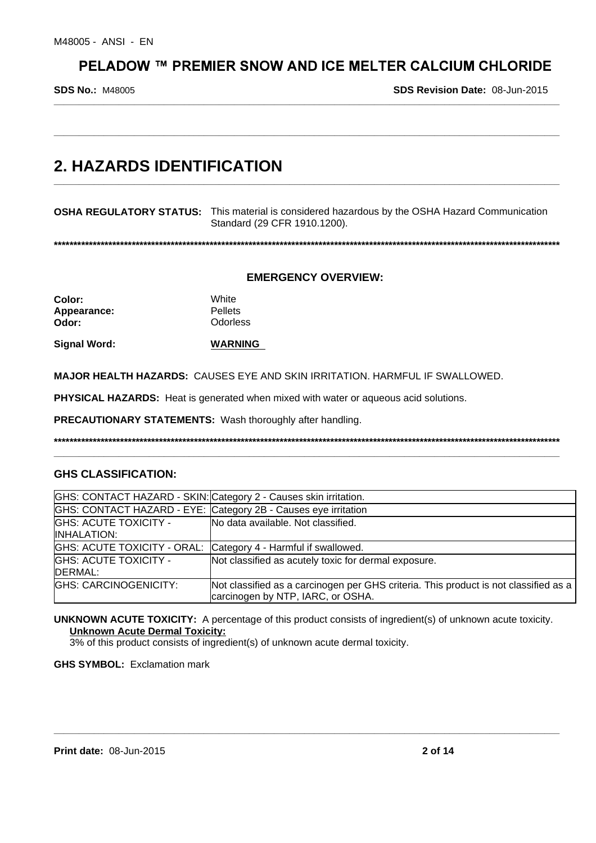**\_\_\_\_\_\_\_\_\_\_\_\_\_\_\_\_\_\_\_\_\_\_\_\_\_\_\_\_\_\_\_\_\_\_\_\_\_\_\_\_\_\_\_\_\_\_\_\_\_\_\_\_\_\_\_\_\_\_\_\_\_\_\_\_\_\_\_\_\_\_\_\_\_\_\_\_\_\_\_\_\_\_\_\_\_\_\_\_\_\_\_\_\_\_\_\_\_\_\_\_\_**

**\_\_\_\_\_\_\_\_\_\_\_\_\_\_\_\_\_\_\_\_\_\_\_\_\_\_\_\_\_\_\_\_\_\_\_\_\_\_\_\_\_\_\_\_\_\_\_\_\_\_\_\_\_\_\_\_\_\_\_\_\_\_\_\_\_\_\_\_\_\_\_\_\_\_\_\_\_\_\_\_\_\_\_\_\_\_\_\_\_\_\_\_\_\_\_\_\_\_\_\_\_**

**\_\_\_\_\_\_\_\_\_\_\_\_\_\_\_\_\_\_\_\_\_\_\_\_\_\_\_\_\_\_\_\_\_\_\_\_\_\_\_\_\_\_\_\_\_\_\_\_\_\_\_\_\_\_\_\_\_\_\_\_\_\_\_\_\_\_\_\_\_\_\_\_\_\_\_\_\_\_\_\_\_\_\_\_\_\_\_\_\_\_\_\_\_\_\_\_\_\_\_\_\_**

**SDS No.:** M48005

**SDS Revision Date:** 08-Jun-2015

# **2. HAZARDS IDENTIFICATION**

**OSHA REGULATORY STATUS:** This material is considered hazardous by the OSHA Hazard Communication Standard (29 CFR 1910.1200).

**\*\*\*\*\*\*\*\*\*\*\*\*\*\*\*\*\*\*\*\*\*\*\*\*\*\*\*\*\*\*\*\*\*\*\*\*\*\*\*\*\*\*\*\*\*\*\*\*\*\*\*\*\*\*\*\*\*\*\*\*\*\*\*\*\*\*\*\*\*\*\*\*\*\*\*\*\*\*\*\*\*\*\*\*\*\*\*\*\*\*\*\*\*\*\*\*\*\*\*\*\*\*\*\*\*\*\*\*\*\*\*\*\*\*\*\*\*\*\*\*\*\*\*\*\*\*\*\*\*\***

### **EMERGENCY OVERVIEW:**

**Color:** White Appearance: Pellets **Odor:** Odorless

**Signal Word: WARNING**

**MAJOR HEALTH HAZARDS:** CAUSES EYE AND SKIN IRRITATION. HARMFUL IF SWALLOWED.

**PHYSICAL HAZARDS:** Heat is generated when mixed with water or aqueous acid solutions.

**PRECAUTIONARY STATEMENTS:** Wash thoroughly after handling.

**\*\*\*\*\*\*\*\*\*\*\*\*\*\*\*\*\*\*\*\*\*\*\*\*\*\*\*\*\*\*\*\*\*\*\*\*\*\*\*\*\*\*\*\*\*\*\*\*\*\*\*\*\*\*\*\*\*\*\*\*\*\*\*\*\*\*\*\*\*\*\*\*\*\*\*\*\*\*\*\*\*\*\*\*\*\*\*\*\*\*\*\*\*\*\*\*\*\*\*\*\*\*\*\*\*\*\*\*\*\*\*\*\*\*\*\*\*\*\*\*\*\*\*\*\*\*\*\*\*\* \_\_\_\_\_\_\_\_\_\_\_\_\_\_\_\_\_\_\_\_\_\_\_\_\_\_\_\_\_\_\_\_\_\_\_\_\_\_\_\_\_\_\_\_\_\_\_\_\_\_\_\_\_\_\_\_\_\_\_\_\_\_\_\_\_\_\_\_\_\_\_\_\_\_\_\_\_\_\_\_\_\_\_\_\_\_\_\_\_\_\_\_\_\_\_\_\_\_\_\_\_**

# **GHS CLASSIFICATION:**

|                                                     | GHS: CONTACT HAZARD - SKIN: Category 2 - Causes skin irritation.                                                          |
|-----------------------------------------------------|---------------------------------------------------------------------------------------------------------------------------|
|                                                     | GHS: CONTACT HAZARD - EYE: Category 2B - Causes eye irritation                                                            |
| <b>GHS: ACUTE TOXICITY -</b><br><b>IINHALATION:</b> | No data available. Not classified.                                                                                        |
|                                                     | GHS: ACUTE TOXICITY - ORAL: Category 4 - Harmful if swallowed.                                                            |
| <b>GHS: ACUTE TOXICITY -</b><br>DERMAL:             | Not classified as acutely toxic for dermal exposure.                                                                      |
| GHS: CARCINOGENICITY:                               | Not classified as a carcinogen per GHS criteria. This product is not classified as a<br>carcinogen by NTP, IARC, or OSHA. |

**UNKNOWN ACUTE TOXICITY:** A percentage of this product consists of ingredient(s) of unknown acute toxicity. **Unknown Acute Dermal Toxicity:**

**\_\_\_\_\_\_\_\_\_\_\_\_\_\_\_\_\_\_\_\_\_\_\_\_\_\_\_\_\_\_\_\_\_\_\_\_\_\_\_\_\_\_\_\_\_\_\_\_\_\_\_\_\_\_\_\_\_\_\_\_\_\_\_\_\_\_\_\_\_\_\_\_\_\_\_\_\_\_\_\_\_\_\_\_\_\_\_\_\_\_\_\_\_\_\_\_\_\_\_\_\_**

3% of this product consists of ingredient(s) of unknown acute dermal toxicity.

**GHS SYMBOL:** Exclamation mark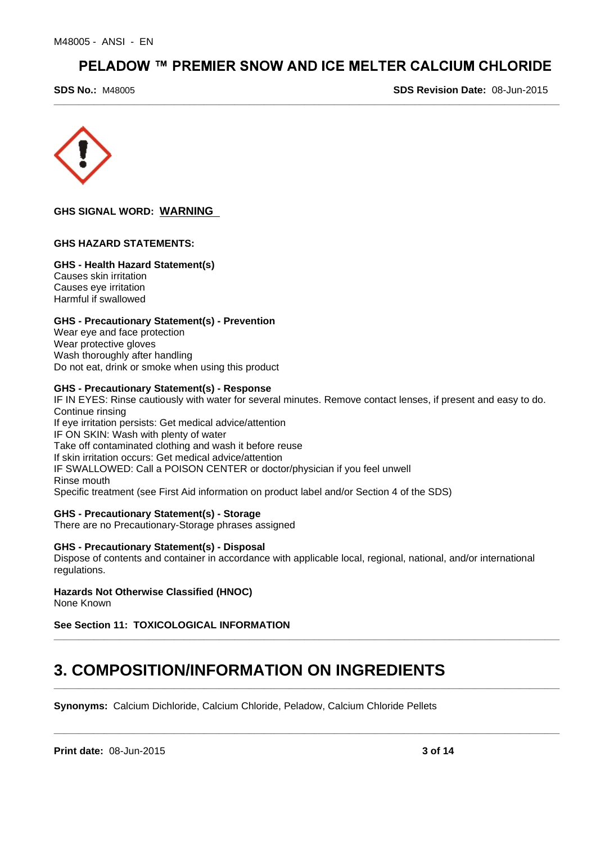**\_\_\_\_\_\_\_\_\_\_\_\_\_\_\_\_\_\_\_\_\_\_\_\_\_\_\_\_\_\_\_\_\_\_\_\_\_\_\_\_\_\_\_\_\_\_\_\_\_\_\_\_\_\_\_\_\_\_\_\_\_\_\_\_\_\_\_\_\_\_\_\_\_\_\_\_\_\_\_\_\_\_\_\_\_\_\_\_\_\_\_\_\_\_\_\_\_\_\_\_\_**

**SDS No.:** M48005

**SDS Revision Date:** 08-Jun-2015



# **GHS SIGNAL WORD: WARNING**

### **GHS HAZARD STATEMENTS:**

### **GHS - Health Hazard Statement(s)**

Causes skin irritation Causes eye irritation Harmful if swallowed

# **GHS - Precautionary Statement(s) - Prevention**

Wear eye and face protection Wear protective gloves Wash thoroughly after handling Do not eat, drink or smoke when using this product

# **GHS - Precautionary Statement(s) - Response**

IF IN EYES: Rinse cautiously with water for several minutes. Remove contact lenses, if present and easy to do. Continue rinsing If eye irritation persists: Get medical advice/attention IF ON SKIN: Wash with plenty of water Take off contaminated clothing and wash it before reuse If skin irritation occurs: Get medical advice/attention IF SWALLOWED: Call a POISON CENTER or doctor/physician if you feel unwell Rinse mouth Specific treatment (see First Aid information on product label and/or Section 4 of the SDS)

### **GHS - Precautionary Statement(s) - Storage**

There are no Precautionary-Storage phrases assigned

### **GHS - Precautionary Statement(s) - Disposal**

Dispose of contents and container in accordance with applicable local, regional, national, and/or international regulations.

**\_\_\_\_\_\_\_\_\_\_\_\_\_\_\_\_\_\_\_\_\_\_\_\_\_\_\_\_\_\_\_\_\_\_\_\_\_\_\_\_\_\_\_\_\_\_\_\_\_\_\_\_\_\_\_\_\_\_\_\_\_\_\_\_\_\_\_\_\_\_\_\_\_\_\_\_\_\_\_\_\_\_\_\_\_\_\_\_\_\_\_\_\_\_\_\_\_\_\_\_\_**

**\_\_\_\_\_\_\_\_\_\_\_\_\_\_\_\_\_\_\_\_\_\_\_\_\_\_\_\_\_\_\_\_\_\_\_\_\_\_\_\_\_\_\_\_\_\_\_\_\_\_\_\_\_\_\_\_\_\_\_\_\_\_\_\_\_\_\_\_\_\_\_\_\_\_\_\_\_\_\_\_\_\_\_\_\_\_\_\_\_\_\_\_\_\_\_\_\_\_\_\_\_**

**\_\_\_\_\_\_\_\_\_\_\_\_\_\_\_\_\_\_\_\_\_\_\_\_\_\_\_\_\_\_\_\_\_\_\_\_\_\_\_\_\_\_\_\_\_\_\_\_\_\_\_\_\_\_\_\_\_\_\_\_\_\_\_\_\_\_\_\_\_\_\_\_\_\_\_\_\_\_\_\_\_\_\_\_\_\_\_\_\_\_\_\_\_\_\_\_\_\_\_\_\_**

#### **Hazards Not Otherwise Classified (HNOC)** None Known

# **See Section 11: TOXICOLOGICAL INFORMATION**

# **3. COMPOSITION/INFORMATION ON INGREDIENTS**

**Synonyms:** Calcium Dichloride, Calcium Chloride, Peladow, Calcium Chloride Pellets

**Print date:** 08-Jun-2015 **3 of 14**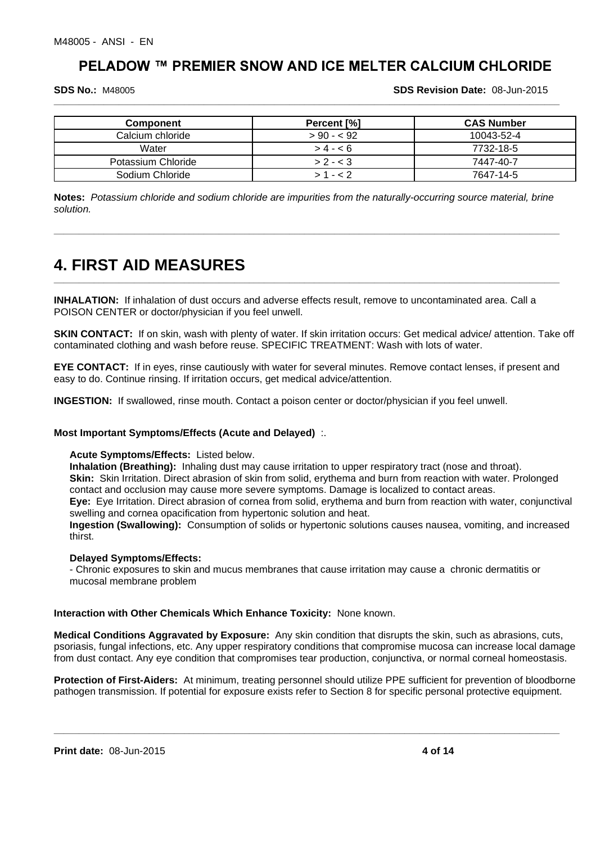**\_\_\_\_\_\_\_\_\_\_\_\_\_\_\_\_\_\_\_\_\_\_\_\_\_\_\_\_\_\_\_\_\_\_\_\_\_\_\_\_\_\_\_\_\_\_\_\_\_\_\_\_\_\_\_\_\_\_\_\_\_\_\_\_\_\_\_\_\_\_\_\_\_\_\_\_\_\_\_\_\_\_\_\_\_\_\_\_\_\_\_\_\_\_\_\_\_\_\_\_\_**

**SDS No.:** M48005

**SDS Revision Date:** 08-Jun-2015

| <b>Component</b>   | Percent [%] | <b>CAS Number</b> |
|--------------------|-------------|-------------------|
| Calcium chloride   | $> 90 - 92$ | 10043-52-4        |
| Water              | $> 4 - 6$   | 7732-18-5         |
| Potassium Chloride | $> 2 - 3$   | 7447-40-7         |
| Sodium Chloride    | $>1 - < 2$  | 7647-14-5         |

**Notes:** *Potassium chloride and sodium chloride are impurities from the naturally-occurring source material, brine solution.*

**\_\_\_\_\_\_\_\_\_\_\_\_\_\_\_\_\_\_\_\_\_\_\_\_\_\_\_\_\_\_\_\_\_\_\_\_\_\_\_\_\_\_\_\_\_\_\_\_\_\_\_\_\_\_\_\_\_\_\_\_\_\_\_\_\_\_\_\_\_\_\_\_\_\_\_\_\_\_\_\_\_\_\_\_\_\_\_\_\_\_\_\_\_\_\_\_\_\_\_\_\_**

**\_\_\_\_\_\_\_\_\_\_\_\_\_\_\_\_\_\_\_\_\_\_\_\_\_\_\_\_\_\_\_\_\_\_\_\_\_\_\_\_\_\_\_\_\_\_\_\_\_\_\_\_\_\_\_\_\_\_\_\_\_\_\_\_\_\_\_\_\_\_\_\_\_\_\_\_\_\_\_\_\_\_\_\_\_\_\_\_\_\_\_\_\_\_\_\_\_\_\_\_\_**

# **4. FIRST AID MEASURES**

**INHALATION:** If inhalation of dust occurs and adverse effects result, remove to uncontaminated area. Call a POISON CENTER or doctor/physician if you feel unwell.

**SKIN CONTACT:** If on skin, wash with plenty of water. If skin irritation occurs: Get medical advice/ attention. Take off contaminated clothing and wash before reuse. SPECIFIC TREATMENT: Wash with lots of water.

**EYE CONTACT:** If in eyes, rinse cautiously with water for several minutes. Remove contact lenses, if present and easy to do. Continue rinsing. If irritation occurs, get medical advice/attention.

**INGESTION:** If swallowed, rinse mouth. Contact a poison center or doctor/physician if you feel unwell.

# **Most Important Symptoms/Effects (Acute and Delayed)** :.

### **Acute Symptoms/Effects:** Listed below.

**Inhalation (Breathing):** Inhaling dust may cause irritation to upper respiratory tract (nose and throat). **Skin:** Skin Irritation. Direct abrasion of skin from solid, erythema and burn from reaction with water. Prolonged contact and occlusion may cause more severe symptoms. Damage is localized to contact areas. **Eye:** Eye Irritation. Direct abrasion of cornea from solid, erythema and burn from reaction with water, conjunctival

swelling and cornea opacification from hypertonic solution and heat.

**Ingestion (Swallowing):** Consumption of solids or hypertonic solutions causes nausea, vomiting, and increased thirst.

# **Delayed Symptoms/Effects:**

- Chronic exposures to skin and mucus membranes that cause irritation may cause a chronic dermatitis or mucosal membrane problem

# **Interaction with Other Chemicals Which Enhance Toxicity:** None known.

**Medical Conditions Aggravated by Exposure:** Any skin condition that disrupts the skin, such as abrasions, cuts, psoriasis, fungal infections, etc. Any upper respiratory conditions that compromise mucosa can increase local damage from dust contact. Any eye condition that compromises tear production, conjunctiva, or normal corneal homeostasis.

**Protection of First-Aiders:** At minimum, treating personnel should utilize PPE sufficient for prevention of bloodborne pathogen transmission. If potential for exposure exists refer to Section 8 for specific personal protective equipment.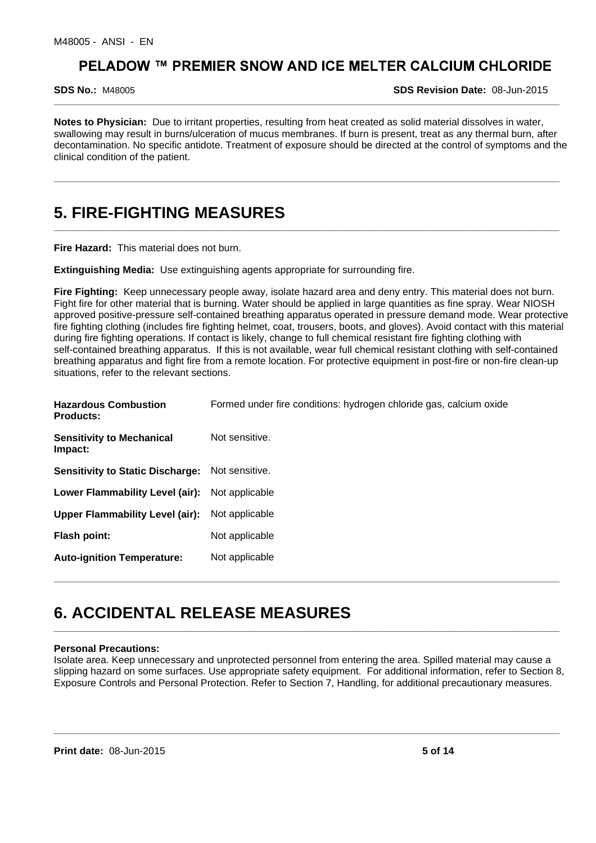**SDS No.:** M48005

**SDS Revision Date:** 08-Jun-2015

**Notes to Physician:** Due to irritant properties, resulting from heat created as solid material dissolves in water, swallowing may result in burns/ulceration of mucus membranes. If burn is present, treat as any thermal burn, after decontamination. No specific antidote. Treatment of exposure should be directed at the control of symptoms and the clinical condition of the patient.

**\_\_\_\_\_\_\_\_\_\_\_\_\_\_\_\_\_\_\_\_\_\_\_\_\_\_\_\_\_\_\_\_\_\_\_\_\_\_\_\_\_\_\_\_\_\_\_\_\_\_\_\_\_\_\_\_\_\_\_\_\_\_\_\_\_\_\_\_\_\_\_\_\_\_\_\_\_\_\_\_\_\_\_\_\_\_\_\_\_\_\_\_\_\_\_\_\_\_\_\_\_**

**\_\_\_\_\_\_\_\_\_\_\_\_\_\_\_\_\_\_\_\_\_\_\_\_\_\_\_\_\_\_\_\_\_\_\_\_\_\_\_\_\_\_\_\_\_\_\_\_\_\_\_\_\_\_\_\_\_\_\_\_\_\_\_\_\_\_\_\_\_\_\_\_\_\_\_\_\_\_\_\_\_\_\_\_\_\_\_\_\_\_\_\_\_\_\_\_\_\_\_\_\_**

**\_\_\_\_\_\_\_\_\_\_\_\_\_\_\_\_\_\_\_\_\_\_\_\_\_\_\_\_\_\_\_\_\_\_\_\_\_\_\_\_\_\_\_\_\_\_\_\_\_\_\_\_\_\_\_\_\_\_\_\_\_\_\_\_\_\_\_\_\_\_\_\_\_\_\_\_\_\_\_\_\_\_\_\_\_\_\_\_\_\_\_\_\_\_\_\_\_\_\_\_\_**

# **5. FIRE-FIGHTING MEASURES**

**Fire Hazard:** This material does not burn.

**Extinguishing Media:** Use extinguishing agents appropriate for surrounding fire.

**Fire Fighting:** Keep unnecessary people away, isolate hazard area and deny entry. This material does not burn. Fight fire for other material that is burning. Water should be applied in large quantities as fine spray. Wear NIOSH approved positive-pressure self-contained breathing apparatus operated in pressure demand mode. Wear protective fire fighting clothing (includes fire fighting helmet, coat, trousers, boots, and gloves). Avoid contact with this material during fire fighting operations. If contact is likely, change to full chemical resistant fire fighting clothing with self-contained breathing apparatus. If this is not available, wear full chemical resistant clothing with self-contained breathing apparatus and fight fire from a remote location. For protective equipment in post-fire or non-fire clean-up situations, refer to the relevant sections.

| <b>Hazardous Combustion</b><br><b>Products:</b> | Formed under fire conditions: hydrogen chloride gas, calcium oxide |
|-------------------------------------------------|--------------------------------------------------------------------|
| <b>Sensitivity to Mechanical</b><br>Impact:     | Not sensitive.                                                     |
| <b>Sensitivity to Static Discharge:</b>         | Not sensitive.                                                     |
| Lower Flammability Level (air):                 | Not applicable                                                     |
| Upper Flammability Level (air):                 | Not applicable                                                     |
| <b>Flash point:</b>                             | Not applicable                                                     |
| <b>Auto-ignition Temperature:</b>               | Not applicable                                                     |

# **6. ACCIDENTAL RELEASE MEASURES**

#### **Personal Precautions:**

Isolate area. Keep unnecessary and unprotected personnel from entering the area. Spilled material may cause a slipping hazard on some surfaces. Use appropriate safety equipment. For additional information, refer to Section 8, Exposure Controls and Personal Protection. Refer to Section 7, Handling, for additional precautionary measures.

**\_\_\_\_\_\_\_\_\_\_\_\_\_\_\_\_\_\_\_\_\_\_\_\_\_\_\_\_\_\_\_\_\_\_\_\_\_\_\_\_\_\_\_\_\_\_\_\_\_\_\_\_\_\_\_\_\_\_\_\_\_\_\_\_\_\_\_\_\_\_\_\_\_\_\_\_\_\_\_\_\_\_\_\_\_\_\_\_\_\_\_\_\_\_\_\_\_\_\_\_\_**

**\_\_\_\_\_\_\_\_\_\_\_\_\_\_\_\_\_\_\_\_\_\_\_\_\_\_\_\_\_\_\_\_\_\_\_\_\_\_\_\_\_\_\_\_\_\_\_\_\_\_\_\_\_\_\_\_\_\_\_\_\_\_\_\_\_\_\_\_\_\_\_\_\_\_\_\_\_\_\_\_\_\_\_\_\_\_\_\_\_\_\_\_\_\_\_\_\_\_\_\_\_**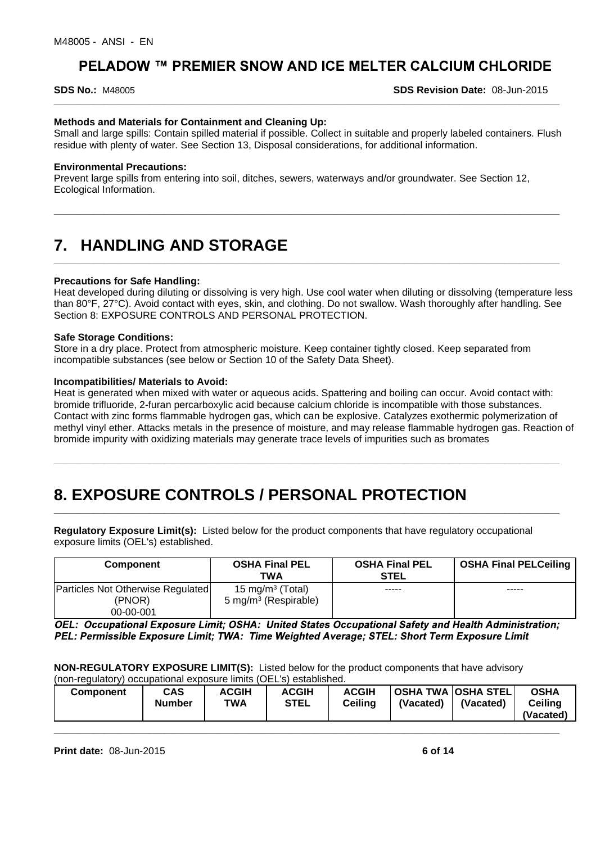#### **SDS No.:** M48005

**SDS Revision Date:** 08-Jun-2015

# **Methods and Materials for Containment and Cleaning Up:**

Small and large spills: Contain spilled material if possible. Collect in suitable and properly labeled containers. Flush residue with plenty of water. See Section 13, Disposal considerations, for additional information.

**\_\_\_\_\_\_\_\_\_\_\_\_\_\_\_\_\_\_\_\_\_\_\_\_\_\_\_\_\_\_\_\_\_\_\_\_\_\_\_\_\_\_\_\_\_\_\_\_\_\_\_\_\_\_\_\_\_\_\_\_\_\_\_\_\_\_\_\_\_\_\_\_\_\_\_\_\_\_\_\_\_\_\_\_\_\_\_\_\_\_\_\_\_\_\_\_\_\_\_\_\_**

**\_\_\_\_\_\_\_\_\_\_\_\_\_\_\_\_\_\_\_\_\_\_\_\_\_\_\_\_\_\_\_\_\_\_\_\_\_\_\_\_\_\_\_\_\_\_\_\_\_\_\_\_\_\_\_\_\_\_\_\_\_\_\_\_\_\_\_\_\_\_\_\_\_\_\_\_\_\_\_\_\_\_\_\_\_\_\_\_\_\_\_\_\_\_\_\_\_\_\_\_\_**

**\_\_\_\_\_\_\_\_\_\_\_\_\_\_\_\_\_\_\_\_\_\_\_\_\_\_\_\_\_\_\_\_\_\_\_\_\_\_\_\_\_\_\_\_\_\_\_\_\_\_\_\_\_\_\_\_\_\_\_\_\_\_\_\_\_\_\_\_\_\_\_\_\_\_\_\_\_\_\_\_\_\_\_\_\_\_\_\_\_\_\_\_\_\_\_\_\_\_\_\_\_**

#### **Environmental Precautions:**

Prevent large spills from entering into soil, ditches, sewers, waterways and/or groundwater. See Section 12, Ecological Information.

# **7. HANDLING AND STORAGE**

### **Precautions for Safe Handling:**

Heat developed during diluting or dissolving is very high. Use cool water when diluting or dissolving (temperature less than 80°F, 27°C). Avoid contact with eyes, skin, and clothing. Do not swallow. Wash thoroughly after handling. See Section 8: EXPOSURE CONTROLS AND PERSONAL PROTECTION.

### **Safe Storage Conditions:**

Store in a dry place. Protect from atmospheric moisture. Keep container tightly closed. Keep separated from incompatible substances (see below or Section 10 of the Safety Data Sheet).

#### **Incompatibilities/ Materials to Avoid:**

Heat is generated when mixed with water or aqueous acids. Spattering and boiling can occur. Avoid contact with: bromide trifluoride, 2-furan percarboxylic acid because calcium chloride is incompatible with those substances. Contact with zinc forms flammable hydrogen gas, which can be explosive. Catalyzes exothermic polymerization of methyl vinyl ether. Attacks metals in the presence of moisture, and may release flammable hydrogen gas. Reaction of bromide impurity with oxidizing materials may generate trace levels of impurities such as bromates

**\_\_\_\_\_\_\_\_\_\_\_\_\_\_\_\_\_\_\_\_\_\_\_\_\_\_\_\_\_\_\_\_\_\_\_\_\_\_\_\_\_\_\_\_\_\_\_\_\_\_\_\_\_\_\_\_\_\_\_\_\_\_\_\_\_\_\_\_\_\_\_\_\_\_\_\_\_\_\_\_\_\_\_\_\_\_\_\_\_\_\_\_\_\_\_\_\_\_\_\_\_**

# **8. EXPOSURE CONTROLS / PERSONAL PROTECTION \_\_\_\_\_\_\_\_\_\_\_\_\_\_\_\_\_\_\_\_\_\_\_\_\_\_\_\_\_\_\_\_\_\_\_\_\_\_\_\_\_\_\_\_\_\_\_\_\_\_\_\_\_\_\_\_\_\_\_\_\_\_\_\_\_\_\_\_\_\_\_\_\_\_\_\_\_\_\_\_\_\_\_\_\_\_\_\_\_\_\_\_\_\_\_\_\_\_\_\_\_**

**Regulatory Exposure Limit(s):** Listed below for the product components that have regulatory occupational exposure limits (OEL's) established.

| Component                                   | <b>OSHA Final PEL</b><br>TWA                                     | <b>OSHA Final PEL</b><br><b>STEL</b> | <b>OSHA Final PELCeiling</b> |
|---------------------------------------------|------------------------------------------------------------------|--------------------------------------|------------------------------|
| Particles Not Otherwise Regulated<br>(PNOR) | 15 mg/m <sup>3</sup> (Total)<br>5 mg/m <sup>3</sup> (Respirable) | -----                                | -----                        |
| 00-00-001                                   |                                                                  |                                      |                              |

OEL: Occupational Exposure Limit; OSHA: United States Occupational Safety and Health Administration; PEL: Permissible Exposure Limit: TWA: Time Weighted Average: STEL: Short Term Exposure Limit

**NON-REGULATORY EXPOSURE LIMIT(S):** Listed below for the product components that have advisory (non-regulatory) occupational exposure limits (OEL's) established.

| 111011 10001010177 | <u>ooddodigiidii capoodi c ilitiito to EE of coldigiioitod.</u> |              |              |              |           |                    |                |
|--------------------|-----------------------------------------------------------------|--------------|--------------|--------------|-----------|--------------------|----------------|
| Component          | <b>CAS</b>                                                      | <b>ACGIH</b> | <b>ACGIH</b> | <b>ACGIH</b> |           | OSHA TWA OSHA STEL | <b>OSHA</b>    |
|                    | <b>Number</b>                                                   | TWA          | STEL         | Ceilina      | (Vacated) | (Vacated)          | <b>Ceiling</b> |
|                    |                                                                 |              |              |              |           |                    | (Vacated)      |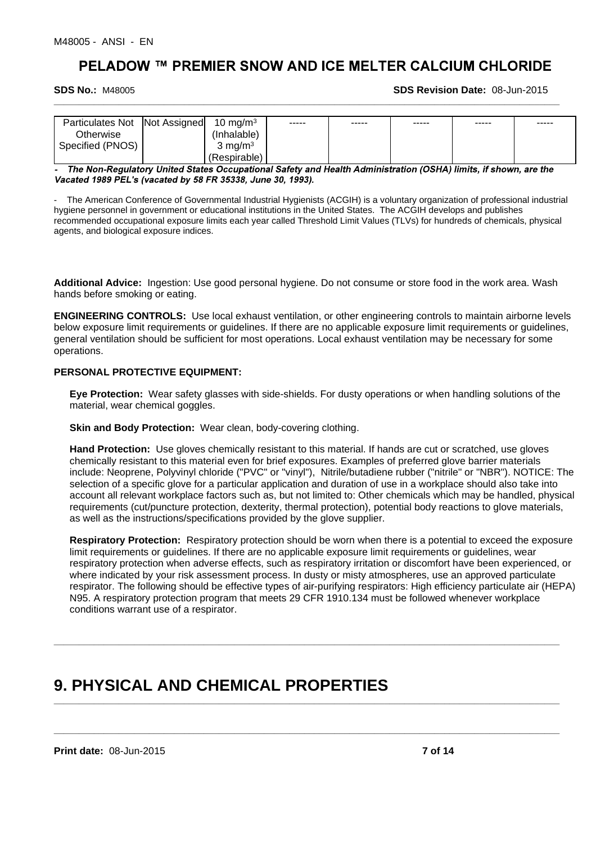#### **SDS No.:** M48005

**SDS Revision Date:** 08-Jun-2015

| <b>Particulates Not</b> | Not Assigned | $10 \text{ ma/m}^3$ | ----- | ----- | ----- | ----- | ----- |
|-------------------------|--------------|---------------------|-------|-------|-------|-------|-------|
| Otherwise               |              | (Inhalable)         |       |       |       |       |       |
| Specified (PNOS)        |              | ma/m <sup>3</sup>   |       |       |       |       |       |
|                         |              | (Respirable)        |       |       |       |       |       |

**\_\_\_\_\_\_\_\_\_\_\_\_\_\_\_\_\_\_\_\_\_\_\_\_\_\_\_\_\_\_\_\_\_\_\_\_\_\_\_\_\_\_\_\_\_\_\_\_\_\_\_\_\_\_\_\_\_\_\_\_\_\_\_\_\_\_\_\_\_\_\_\_\_\_\_\_\_\_\_\_\_\_\_\_\_\_\_\_\_\_\_\_\_\_\_\_\_\_\_\_\_**

The Non-Regulatory United States Occupational Safety and Health Administration (OSHA) limits, if shown, are the Vacated 1989 PEL's (vacated by 58 FR 35338, June 30, 1993).

- The American Conference of Governmental Industrial Hygienists (ACGIH) is a voluntary organization of professional industrial hygiene personnel in government or educational institutions in the United States. The ACGIH develops and publishes recommended occupational exposure limits each year called Threshold Limit Values (TLVs) for hundreds of chemicals, physical agents, and biological exposure indices.

**Additional Advice:** Ingestion: Use good personal hygiene. Do not consume or store food in the work area. Wash hands before smoking or eating.

**ENGINEERING CONTROLS:** Use local exhaust ventilation, or other engineering controls to maintain airborne levels below exposure limit requirements or guidelines. If there are no applicable exposure limit requirements or guidelines, general ventilation should be sufficient for most operations. Local exhaust ventilation may be necessary for some operations.

# **PERSONAL PROTECTIVE EQUIPMENT:**

**Eye Protection:** Wear safety glasses with side-shields. For dusty operations or when handling solutions of the material, wear chemical goggles.

**Skin and Body Protection: Wear clean, body-covering clothing.** 

**Hand Protection:** Use gloves chemically resistant to this material. If hands are cut or scratched, use gloves chemically resistant to this material even for brief exposures. Examples of preferred glove barrier materials include: Neoprene, Polyvinyl chloride ("PVC" or "vinyl"), Nitrile/butadiene rubber ("nitrile" or "NBR"). NOTICE: The selection of a specific glove for a particular application and duration of use in a workplace should also take into account all relevant workplace factors such as, but not limited to: Other chemicals which may be handled, physical requirements (cut/puncture protection, dexterity, thermal protection), potential body reactions to glove materials, as well as the instructions/specifications provided by the glove supplier.

**Respiratory Protection:** Respiratory protection should be worn when there is a potential to exceed the exposure limit requirements or guidelines. If there are no applicable exposure limit requirements or guidelines, wear respiratory protection when adverse effects, such as respiratory irritation or discomfort have been experienced, or where indicated by your risk assessment process. In dusty or misty atmospheres, use an approved particulate respirator. The following should be effective types of air-purifying respirators: High efficiency particulate air (HEPA) N95. A respiratory protection program that meets 29 CFR 1910.134 must be followed whenever workplace conditions warrant use of a respirator.

**\_\_\_\_\_\_\_\_\_\_\_\_\_\_\_\_\_\_\_\_\_\_\_\_\_\_\_\_\_\_\_\_\_\_\_\_\_\_\_\_\_\_\_\_\_\_\_\_\_\_\_\_\_\_\_\_\_\_\_\_\_\_\_\_\_\_\_\_\_\_\_\_\_\_\_\_\_\_\_\_\_\_\_\_\_\_\_\_\_\_\_\_\_\_\_\_\_\_\_\_\_**

**\_\_\_\_\_\_\_\_\_\_\_\_\_\_\_\_\_\_\_\_\_\_\_\_\_\_\_\_\_\_\_\_\_\_\_\_\_\_\_\_\_\_\_\_\_\_\_\_\_\_\_\_\_\_\_\_\_\_\_\_\_\_\_\_\_\_\_\_\_\_\_\_\_\_\_\_\_\_\_\_\_\_\_\_\_\_\_\_\_\_\_\_\_\_\_\_\_\_\_\_\_**

**\_\_\_\_\_\_\_\_\_\_\_\_\_\_\_\_\_\_\_\_\_\_\_\_\_\_\_\_\_\_\_\_\_\_\_\_\_\_\_\_\_\_\_\_\_\_\_\_\_\_\_\_\_\_\_\_\_\_\_\_\_\_\_\_\_\_\_\_\_\_\_\_\_\_\_\_\_\_\_\_\_\_\_\_\_\_\_\_\_\_\_\_\_\_\_\_\_\_\_\_\_**

# **9. PHYSICAL AND CHEMICAL PROPERTIES**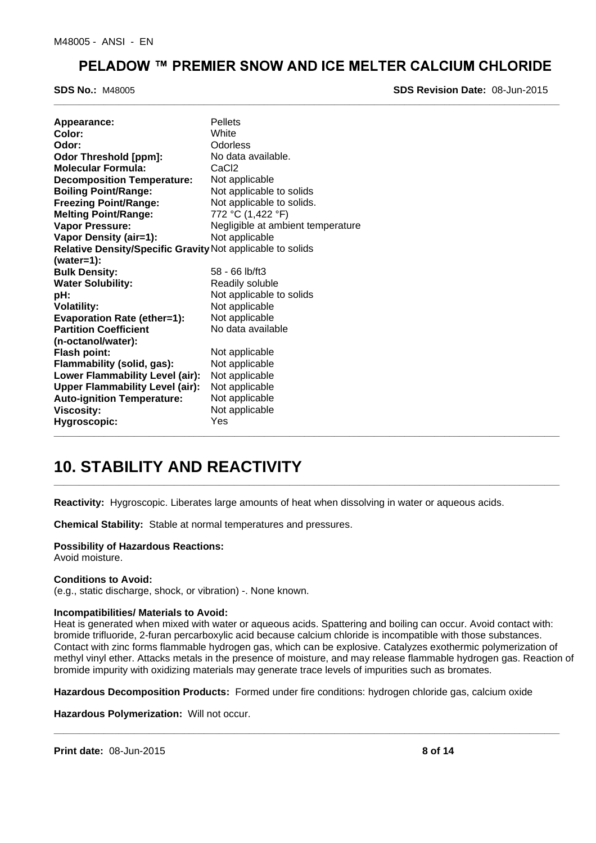**\_\_\_\_\_\_\_\_\_\_\_\_\_\_\_\_\_\_\_\_\_\_\_\_\_\_\_\_\_\_\_\_\_\_\_\_\_\_\_\_\_\_\_\_\_\_\_\_\_\_\_\_\_\_\_\_\_\_\_\_\_\_\_\_\_\_\_\_\_\_\_\_\_\_\_\_\_\_\_\_\_\_\_\_\_\_\_\_\_\_\_\_\_\_\_\_\_\_\_\_\_**

**SDS No.:** M48005

**SDS Revision Date:** 08-Jun-2015

| Appearance:                                                | <b>Pellets</b>                    |
|------------------------------------------------------------|-----------------------------------|
| Color:                                                     | White                             |
| Odor:                                                      | Odorless                          |
| <b>Odor Threshold [ppm]:</b>                               | No data available.                |
| <b>Molecular Formula:</b>                                  | CaC <sub>2</sub>                  |
| <b>Decomposition Temperature:</b>                          | Not applicable                    |
| <b>Boiling Point/Range:</b>                                | Not applicable to solids          |
| <b>Freezing Point/Range:</b>                               | Not applicable to solids.         |
| <b>Melting Point/Range:</b>                                | 772 °C (1,422 °F)                 |
| <b>Vapor Pressure:</b>                                     | Negligible at ambient temperature |
| Vapor Density (air=1):                                     | Not applicable                    |
| Relative Density/Specific Gravity Not applicable to solids |                                   |
| $(water=1):$                                               |                                   |
| <b>Bulk Density:</b>                                       | $58 - 66$ lb/ft3                  |
| <b>Water Solubility:</b>                                   | Readily soluble                   |
| pH:                                                        | Not applicable to solids          |
| <b>Volatility:</b>                                         | Not applicable                    |
| <b>Evaporation Rate (ether=1):</b>                         | Not applicable                    |
| <b>Partition Coefficient</b>                               | No data available                 |
| (n-octanol/water):                                         |                                   |
| <b>Flash point:</b>                                        | Not applicable                    |
| Flammability (solid, gas):                                 | Not applicable                    |
| Lower Flammability Level (air):                            | Not applicable                    |
| <b>Upper Flammability Level (air):</b>                     | Not applicable                    |
| <b>Auto-ignition Temperature:</b>                          | Not applicable                    |
| <b>Viscosity:</b>                                          | Not applicable                    |
| Hygroscopic:                                               | Yes                               |

# **10. STABILITY AND REACTIVITY**

**Reactivity:** Hygroscopic. Liberates large amounts of heat when dissolving in water or aqueous acids.

**\_\_\_\_\_\_\_\_\_\_\_\_\_\_\_\_\_\_\_\_\_\_\_\_\_\_\_\_\_\_\_\_\_\_\_\_\_\_\_\_\_\_\_\_\_\_\_\_\_\_\_\_\_\_\_\_\_\_\_\_\_\_\_\_\_\_\_\_\_\_\_\_\_\_\_\_\_\_\_\_\_\_\_\_\_\_\_\_\_\_\_\_\_\_\_\_\_\_\_\_\_**

**Chemical Stability:** Stable at normal temperatures and pressures.

# **Possibility of Hazardous Reactions:**

Avoid moisture.

#### **Conditions to Avoid:**

(e.g., static discharge, shock, or vibration) -. None known.

#### **Incompatibilities/ Materials to Avoid:**

Heat is generated when mixed with water or aqueous acids. Spattering and boiling can occur. Avoid contact with: bromide trifluoride, 2-furan percarboxylic acid because calcium chloride is incompatible with those substances. Contact with zinc forms flammable hydrogen gas, which can be explosive. Catalyzes exothermic polymerization of methyl vinyl ether. Attacks metals in the presence of moisture, and may release flammable hydrogen gas. Reaction of bromide impurity with oxidizing materials may generate trace levels of impurities such as bromates.

**Hazardous Decomposition Products:** Formed under fire conditions: hydrogen chloride gas, calcium oxide

**\_\_\_\_\_\_\_\_\_\_\_\_\_\_\_\_\_\_\_\_\_\_\_\_\_\_\_\_\_\_\_\_\_\_\_\_\_\_\_\_\_\_\_\_\_\_\_\_\_\_\_\_\_\_\_\_\_\_\_\_\_\_\_\_\_\_\_\_\_\_\_\_\_\_\_\_\_\_\_\_\_\_\_\_\_\_\_\_\_\_\_\_\_\_\_\_\_\_\_\_\_**

**Hazardous Polymerization:** Will not occur.

**Print date:** 08-Jun-2015 **8 of 14**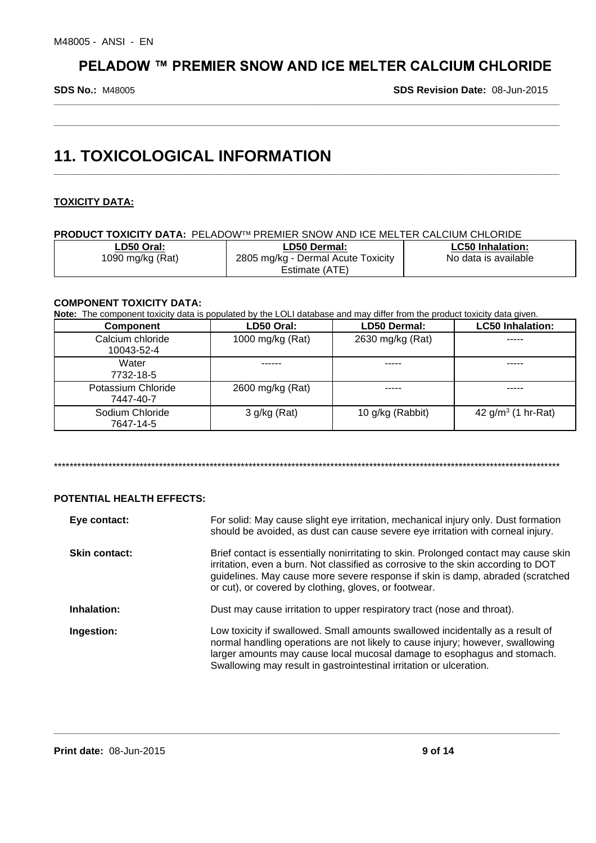**\_\_\_\_\_\_\_\_\_\_\_\_\_\_\_\_\_\_\_\_\_\_\_\_\_\_\_\_\_\_\_\_\_\_\_\_\_\_\_\_\_\_\_\_\_\_\_\_\_\_\_\_\_\_\_\_\_\_\_\_\_\_\_\_\_\_\_\_\_\_\_\_\_\_\_\_\_\_\_\_\_\_\_\_\_\_\_\_\_\_\_\_\_\_\_\_\_\_\_\_\_**

**\_\_\_\_\_\_\_\_\_\_\_\_\_\_\_\_\_\_\_\_\_\_\_\_\_\_\_\_\_\_\_\_\_\_\_\_\_\_\_\_\_\_\_\_\_\_\_\_\_\_\_\_\_\_\_\_\_\_\_\_\_\_\_\_\_\_\_\_\_\_\_\_\_\_\_\_\_\_\_\_\_\_\_\_\_\_\_\_\_\_\_\_\_\_\_\_\_\_\_\_\_**

**\_\_\_\_\_\_\_\_\_\_\_\_\_\_\_\_\_\_\_\_\_\_\_\_\_\_\_\_\_\_\_\_\_\_\_\_\_\_\_\_\_\_\_\_\_\_\_\_\_\_\_\_\_\_\_\_\_\_\_\_\_\_\_\_\_\_\_\_\_\_\_\_\_\_\_\_\_\_\_\_\_\_\_\_\_\_\_\_\_\_\_\_\_\_\_\_\_\_\_\_\_**

**SDS No.:** M48005

**SDS Revision Date:** 08-Jun-2015

# **11. TOXICOLOGICAL INFORMATION**

# **TOXICITY DATA:**

**PRODUCT TOXICITY DATA: PELADOW<sup>TM</sup> PREMIER SNOW AND ICE MELTER CALCIUM CHLORIDE** 

| ∟D50 Oral:       | LD50 Dermal:                       | <b>LC50 Inhalation:</b> |
|------------------|------------------------------------|-------------------------|
| 1090 mg/kg (Rat) | 2805 mg/kg - Dermal Acute Toxicity | No data is available    |
|                  | Estimate (ATE)                     |                         |

# **COMPONENT TOXICITY DATA:**

**Note:** The component toxicity data is populated by the LOLI database and may differ from the product toxicity data given.

| <b>Component</b>                | LD50 Oral:       | LD50 Dermal:     | <b>LC50 Inhalation:</b> |
|---------------------------------|------------------|------------------|-------------------------|
| Calcium chloride                | 1000 mg/kg (Rat) | 2630 mg/kg (Rat) | -----                   |
| 10043-52-4                      |                  |                  |                         |
| Water<br>7732-18-5              |                  |                  |                         |
| Potassium Chloride<br>7447-40-7 | 2600 mg/kg (Rat) |                  | -----                   |
| Sodium Chloride<br>7647-14-5    | $3$ g/kg (Rat)   | 10 g/kg (Rabbit) | 42 $g/m^3$ (1 hr-Rat)   |

\*\*\*\*\*\*\*\*\*\*\*\*\*\*\*\*\*\*\*\*\*\*\*\*\*\*\*\*\*\*\*\*\*\*\*\*\*\*\*\*\*\*\*\*\*\*\*\*\*\*\*\*\*\*\*\*\*\*\*\*\*\*\*\*\*\*\*\*\*\*\*\*\*\*\*\*\*\*\*\*\*\*\*\*\*\*\*\*\*\*\*\*\*\*\*\*\*\*\*\*\*\*\*\*\*\*\*\*\*\*\*\*\*\*\*\*\*\*\*\*\*\*\*\*\*\*\*\*\*\*

# **POTENTIAL HEALTH EFFECTS:**

| Eye contact:         | For solid: May cause slight eye irritation, mechanical injury only. Dust formation<br>should be avoided, as dust can cause severe eye irritation with corneal injury.                                                                                                                                                |
|----------------------|----------------------------------------------------------------------------------------------------------------------------------------------------------------------------------------------------------------------------------------------------------------------------------------------------------------------|
| <b>Skin contact:</b> | Brief contact is essentially nonirritating to skin. Prolonged contact may cause skin<br>irritation, even a burn. Not classified as corrosive to the skin according to DOT<br>guidelines. May cause more severe response if skin is damp, abraded (scratched<br>or cut), or covered by clothing, gloves, or footwear. |
| Inhalation:          | Dust may cause irritation to upper respiratory tract (nose and throat).                                                                                                                                                                                                                                              |
| Ingestion:           | Low toxicity if swallowed. Small amounts swallowed incidentally as a result of<br>normal handling operations are not likely to cause injury; however, swallowing<br>larger amounts may cause local mucosal damage to esophagus and stomach.<br>Swallowing may result in gastrointestinal irritation or ulceration.   |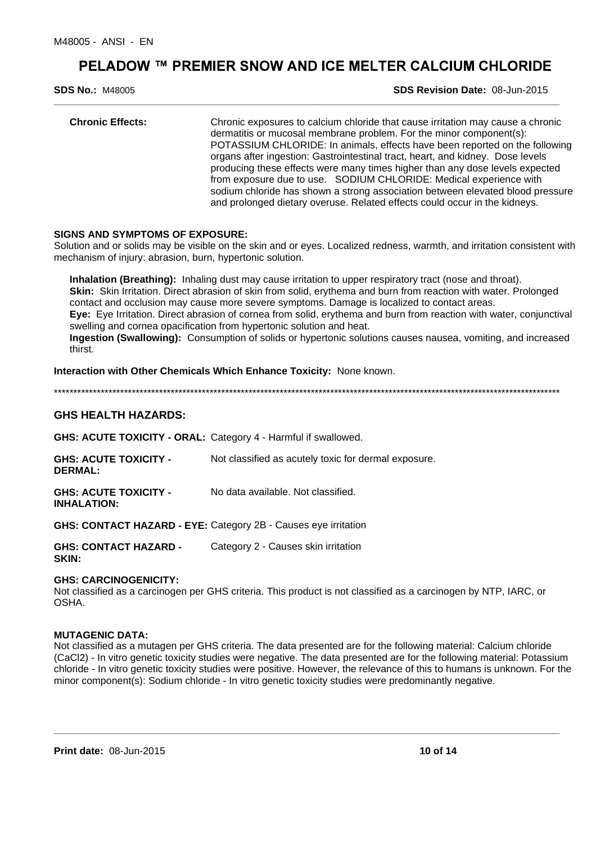**\_\_\_\_\_\_\_\_\_\_\_\_\_\_\_\_\_\_\_\_\_\_\_\_\_\_\_\_\_\_\_\_\_\_\_\_\_\_\_\_\_\_\_\_\_\_\_\_\_\_\_\_\_\_\_\_\_\_\_\_\_\_\_\_\_\_\_\_\_\_\_\_\_\_\_\_\_\_\_\_\_\_\_\_\_\_\_\_\_\_\_\_\_\_\_\_\_\_\_\_\_**

**SDS No.:** M48005

**SDS Revision Date:** 08-Jun-2015

| <b>Chronic Effects:</b> | Chronic exposures to calcium chloride that cause irritation may cause a chronic<br>dermatitis or mucosal membrane problem. For the minor component(s):<br>POTASSIUM CHLORIDE: In animals, effects have been reported on the following<br>organs after ingestion: Gastrointestinal tract, heart, and kidney. Dose levels<br>producing these effects were many times higher than any dose levels expected<br>from exposure due to use. SODIUM CHLORIDE: Medical experience with<br>sodium chloride has shown a strong association between elevated blood pressure<br>and prolonged dietary overuse. Related effects could occur in the kidneys. |
|-------------------------|-----------------------------------------------------------------------------------------------------------------------------------------------------------------------------------------------------------------------------------------------------------------------------------------------------------------------------------------------------------------------------------------------------------------------------------------------------------------------------------------------------------------------------------------------------------------------------------------------------------------------------------------------|
|                         |                                                                                                                                                                                                                                                                                                                                                                                                                                                                                                                                                                                                                                               |

### **SIGNS AND SYMPTOMS OF EXPOSURE:**

Solution and or solids may be visible on the skin and or eyes. Localized redness, warmth, and irritation consistent with mechanism of injury: abrasion, burn, hypertonic solution.

**Inhalation (Breathing):** Inhaling dust may cause irritation to upper respiratory tract (nose and throat). **Skin:** Skin Irritation. Direct abrasion of skin from solid, erythema and burn from reaction with water. Prolonged contact and occlusion may cause more severe symptoms. Damage is localized to contact areas. **Eye:** Eye Irritation. Direct abrasion of cornea from solid, erythema and burn from reaction with water, conjunctival swelling and cornea opacification from hypertonic solution and heat. **Ingestion (Swallowing):** Consumption of solids or hypertonic solutions causes nausea, vomiting, and increased thirst.

**Interaction with Other Chemicals Which Enhance Toxicity:** None known.

\*\*\*\*\*\*\*\*\*\*\*\*\*\*\*\*\*\*\*\*\*\*\*\*\*\*\*\*\*\*\*\*\*\*\*\*\*\*\*\*\*\*\*\*\*\*\*\*\*\*\*\*\*\*\*\*\*\*\*\*\*\*\*\*\*\*\*\*\*\*\*\*\*\*\*\*\*\*\*\*\*\*\*\*\*\*\*\*\*\*\*\*\*\*\*\*\*\*\*\*\*\*\*\*\*\*\*\*\*\*\*\*\*\*\*\*\*\*\*\*\*\*\*\*\*\*\*\*\*\*

# **GHS HEALTH HAZARDS:**

**GHS: ACUTE TOXICITY - ORAL:** Category 4 - Harmful if swallowed.

| <b>GHS: ACUTE TOXICITY -</b><br><b>DERMAL:</b>     | Not classified as acutely toxic for dermal exposure. |
|----------------------------------------------------|------------------------------------------------------|
| <b>GHS: ACUTE TOXICITY -</b><br><b>INHALATION:</b> | No data available. Not classified.                   |

**GHS: CONTACT HAZARD - EYE:** Category 2B - Causes eye irritation

**GHS: CONTACT HAZARD - SKIN:** Category 2 - Causes skin irritation

### **GHS: CARCINOGENICITY:**

Not classified as a carcinogen per GHS criteria. This product is not classified as a carcinogen by NTP, IARC, or OSHA.

### **MUTAGENIC DATA:**

Not classified as a mutagen per GHS criteria. The data presented are for the following material: Calcium chloride (CaCl2) - In vitro genetic toxicity studies were negative. The data presented are for the following material: Potassium chloride - In vitro genetic toxicity studies were positive. However, the relevance of this to humans is unknown. For the minor component(s): Sodium chloride - In vitro genetic toxicity studies were predominantly negative.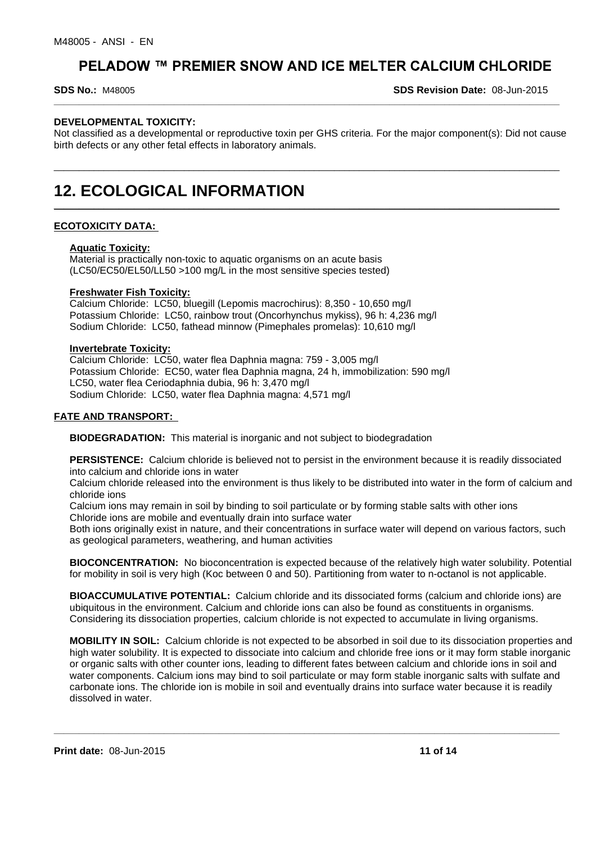#### **SDS No.:** M48005

**SDS Revision Date:** 08-Jun-2015

# **DEVELOPMENTAL TOXICITY:**

Not classified as a developmental or reproductive toxin per GHS criteria. For the major component(s): Did not cause birth defects or any other fetal effects in laboratory animals.

\_\_\_\_\_\_\_\_\_\_\_\_\_\_\_\_\_\_\_\_\_\_\_\_\_\_\_\_\_\_\_\_\_\_\_\_\_\_\_\_\_\_\_\_\_\_\_\_\_\_\_\_\_\_\_\_\_\_\_\_\_\_\_\_\_\_\_\_\_\_\_\_\_\_\_\_\_\_\_\_\_\_\_\_\_\_\_\_\_\_\_\_\_\_\_\_\_\_\_\_\_

**\_\_\_\_\_\_\_\_\_\_\_\_\_\_\_\_\_\_\_\_\_\_\_\_\_\_\_\_\_\_\_\_\_\_\_\_\_\_\_\_\_\_\_\_\_\_\_\_\_\_\_\_\_\_\_\_\_\_\_\_\_\_\_\_\_\_\_\_\_\_\_\_\_\_\_\_\_\_\_\_\_\_\_\_\_\_\_\_\_\_\_\_\_\_\_\_\_\_\_\_\_**

**\_\_\_\_\_\_\_\_\_\_\_\_\_\_\_\_\_\_\_\_\_\_\_\_\_\_\_\_\_\_\_\_\_\_\_\_\_\_\_\_\_\_\_\_\_\_\_\_\_\_\_\_\_\_\_\_\_\_\_\_\_\_\_\_\_\_\_\_\_\_\_\_\_\_\_\_\_\_\_\_\_\_\_\_\_\_\_\_\_\_\_\_\_\_\_\_\_\_\_\_\_**

# **12. ECOLOGICAL INFORMATION**

# **ECOTOXICITY DATA:**

### **Aquatic Toxicity:**

Material is practically non-toxic to aquatic organisms on an acute basis (LC50/EC50/EL50/LL50 >100 mg/L in the most sensitive species tested)

### **Freshwater Fish Toxicity:**

Calcium Chloride: LC50, bluegill (Lepomis macrochirus): 8,350 - 10,650 mg/l Potassium Chloride: LC50, rainbow trout (Oncorhynchus mykiss), 96 h: 4,236 mg/l Sodium Chloride: LC50, fathead minnow (Pimephales promelas): 10,610 mg/l

#### **Invertebrate Toxicity:**

Calcium Chloride: LC50, water flea Daphnia magna: 759 - 3,005 mg/l Potassium Chloride: EC50, water flea Daphnia magna, 24 h, immobilization: 590 mg/l LC50, water flea Ceriodaphnia dubia, 96 h: 3,470 mg/l Sodium Chloride: LC50, water flea Daphnia magna: 4,571 mg/l

### **FATE AND TRANSPORT:**

**BIODEGRADATION:** This material is inorganic and not subject to biodegradation

**PERSISTENCE:** Calcium chloride is believed not to persist in the environment because it is readily dissociated into calcium and chloride ions in water

Calcium chloride released into the environment is thus likely to be distributed into water in the form of calcium and chloride ions

Calcium ions may remain in soil by binding to soil particulate or by forming stable salts with other ions Chloride ions are mobile and eventually drain into surface water

Both ions originally exist in nature, and their concentrations in surface water will depend on various factors, such as geological parameters, weathering, and human activities

**BIOCONCENTRATION:** No bioconcentration is expected because of the relatively high water solubility. Potential for mobility in soil is very high (Koc between 0 and 50). Partitioning from water to n-octanol is not applicable.

**BIOACCUMULATIVE POTENTIAL:** Calcium chloride and its dissociated forms (calcium and chloride ions) are ubiquitous in the environment. Calcium and chloride ions can also be found as constituents in organisms. Considering its dissociation properties, calcium chloride is not expected to accumulate in living organisms.

**MOBILITY IN SOIL:** Calcium chloride is not expected to be absorbed in soil due to its dissociation properties and high water solubility. It is expected to dissociate into calcium and chloride free ions or it may form stable inorganic or organic salts with other counter ions, leading to different fates between calcium and chloride ions in soil and water components. Calcium ions may bind to soil particulate or may form stable inorganic salts with sulfate and carbonate ions. The chloride ion is mobile in soil and eventually drains into surface water because it is readily dissolved in water.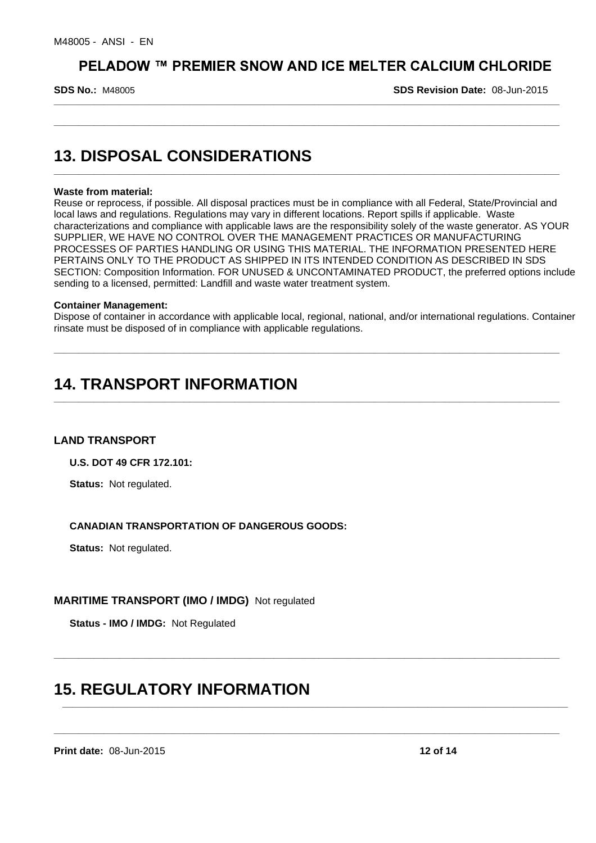**\_\_\_\_\_\_\_\_\_\_\_\_\_\_\_\_\_\_\_\_\_\_\_\_\_\_\_\_\_\_\_\_\_\_\_\_\_\_\_\_\_\_\_\_\_\_\_\_\_\_\_\_\_\_\_\_\_\_\_\_\_\_\_\_\_\_\_\_\_\_\_\_\_\_\_\_\_\_\_\_\_\_\_\_\_\_\_\_\_\_\_\_\_\_\_\_\_\_\_\_\_**

**\_\_\_\_\_\_\_\_\_\_\_\_\_\_\_\_\_\_\_\_\_\_\_\_\_\_\_\_\_\_\_\_\_\_\_\_\_\_\_\_\_\_\_\_\_\_\_\_\_\_\_\_\_\_\_\_\_\_\_\_\_\_\_\_\_\_\_\_\_\_\_\_\_\_\_\_\_\_\_\_\_\_\_\_\_\_\_\_\_\_\_\_\_\_\_\_\_\_\_\_\_**

**\_\_\_\_\_\_\_\_\_\_\_\_\_\_\_\_\_\_\_\_\_\_\_\_\_\_\_\_\_\_\_\_\_\_\_\_\_\_\_\_\_\_\_\_\_\_\_\_\_\_\_\_\_\_\_\_\_\_\_\_\_\_\_\_\_\_\_\_\_\_\_\_\_\_\_\_\_\_\_\_\_\_\_\_\_\_\_\_\_\_\_\_\_\_\_\_\_\_\_\_\_**

**SDS No.:** M48005

**SDS Revision Date:** 08-Jun-2015

# **13. DISPOSAL CONSIDERATIONS**

### **Waste from material:**

Reuse or reprocess, if possible. All disposal practices must be in compliance with all Federal, State/Provincial and local laws and regulations. Regulations may vary in different locations. Report spills if applicable. Waste characterizations and compliance with applicable laws are the responsibility solely of the waste generator. AS YOUR SUPPLIER, WE HAVE NO CONTROL OVER THE MANAGEMENT PRACTICES OR MANUFACTURING PROCESSES OF PARTIES HANDLING OR USING THIS MATERIAL. THE INFORMATION PRESENTED HERE PERTAINS ONLY TO THE PRODUCT AS SHIPPED IN ITS INTENDED CONDITION AS DESCRIBED IN SDS SECTION: Composition Information. FOR UNUSED & UNCONTAMINATED PRODUCT, the preferred options include sending to a licensed, permitted: Landfill and waste water treatment system.

#### **Container Management:**

Dispose of container in accordance with applicable local, regional, national, and/or international regulations. Container rinsate must be disposed of in compliance with applicable regulations.

**\_\_\_\_\_\_\_\_\_\_\_\_\_\_\_\_\_\_\_\_\_\_\_\_\_\_\_\_\_\_\_\_\_\_\_\_\_\_\_\_\_\_\_\_\_\_\_\_\_\_\_\_\_\_\_\_\_\_\_\_\_\_\_\_\_\_\_\_\_\_\_\_\_\_\_\_\_\_\_\_\_\_\_\_\_\_\_\_\_\_\_\_\_\_\_\_\_\_\_\_\_**

**\_\_\_\_\_\_\_\_\_\_\_\_\_\_\_\_\_\_\_\_\_\_\_\_\_\_\_\_\_\_\_\_\_\_\_\_\_\_\_\_\_\_\_\_\_\_\_\_\_\_\_\_\_\_\_\_\_\_\_\_\_\_\_\_\_\_\_\_\_\_\_\_\_\_\_\_\_\_\_\_\_\_\_\_\_\_\_\_\_\_\_\_\_\_\_\_\_\_\_\_\_**

**\_\_\_\_\_\_\_\_\_\_\_\_\_\_\_\_\_\_\_\_\_\_\_\_\_\_\_\_\_\_\_\_\_\_\_\_\_\_\_\_\_\_\_\_\_\_\_\_\_\_\_\_\_\_\_\_\_\_\_\_\_\_\_\_\_\_\_\_\_\_\_\_\_\_\_\_\_\_\_\_\_\_\_\_\_\_\_\_\_\_\_\_\_\_\_\_\_\_\_\_\_**

**\_\_\_\_\_\_\_\_\_\_\_\_\_\_\_\_\_\_\_\_\_\_\_\_\_\_\_\_\_\_\_\_\_\_\_\_\_\_\_\_\_\_\_\_\_\_\_\_\_\_\_\_\_\_\_\_\_\_\_\_\_\_\_\_\_\_\_\_\_\_\_\_\_\_\_\_\_\_\_\_\_\_\_\_\_\_\_\_\_\_\_\_\_\_\_\_\_\_\_\_\_**

**\_\_\_\_\_\_\_\_\_\_\_\_\_\_\_\_\_\_\_\_\_\_\_\_\_\_\_\_\_\_\_\_\_\_\_\_\_\_\_\_\_\_\_\_\_\_\_\_\_\_\_\_\_\_\_\_\_\_\_\_\_\_\_\_\_\_\_\_\_\_\_\_\_\_\_\_\_\_\_\_\_\_\_\_\_\_\_\_\_\_\_\_\_\_\_\_\_\_\_\_\_**

# **14. TRANSPORT INFORMATION**

### **LAND TRANSPORT**

**U.S. DOT 49 CFR 172.101:**

**Status:** Not regulated.

# **CANADIAN TRANSPORTATION OF DANGEROUS GOODS:**

**Status:** Not regulated.

# **MARITIME TRANSPORT (IMO / IMDG)** Not regulated

**Status - IMO / IMDG:** Not Regulated

# **15. REGULATORY INFORMATION**

**Print date:** 08-Jun-2015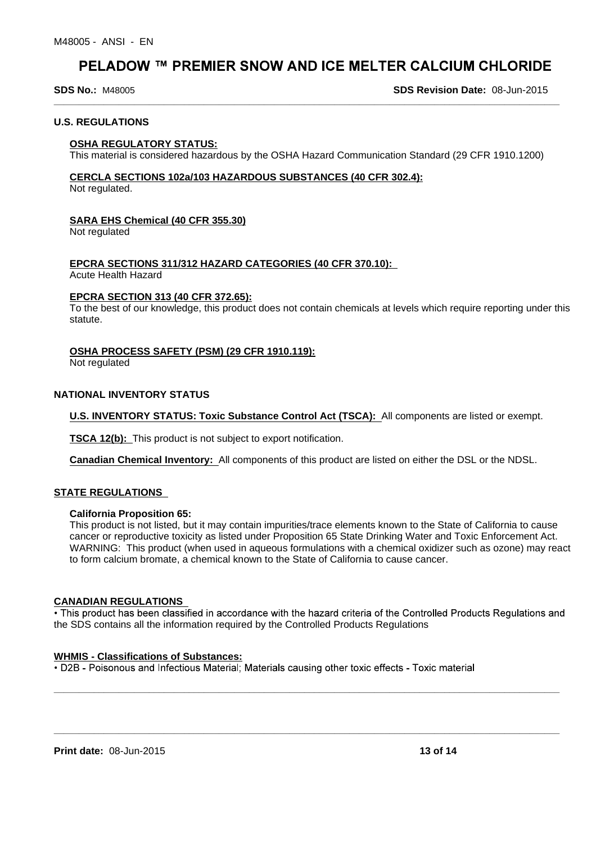**SDS No.:** M48005

**SDS Revision Date:** 08-Jun-2015

### **U.S. REGULATIONS**

#### **OSHA REGULATORY STATUS:**

This material is considered hazardous by the OSHA Hazard Communication Standard (29 CFR 1910.1200)

**\_\_\_\_\_\_\_\_\_\_\_\_\_\_\_\_\_\_\_\_\_\_\_\_\_\_\_\_\_\_\_\_\_\_\_\_\_\_\_\_\_\_\_\_\_\_\_\_\_\_\_\_\_\_\_\_\_\_\_\_\_\_\_\_\_\_\_\_\_\_\_\_\_\_\_\_\_\_\_\_\_\_\_\_\_\_\_\_\_\_\_\_\_\_\_\_\_\_\_\_\_**

# **CERCLA SECTIONS 102a/103 HAZARDOUS SUBSTANCES (40 CFR 302.4):**

Not regulated.

### **SARA EHS Chemical (40 CFR 355.30)**

Not regulated

# **EPCRA SECTIONS 311/312 HAZARD CATEGORIES (40 CFR 370.10):**

Acute Health Hazard

# **EPCRA SECTION 313 (40 CFR 372.65):**

To the best of our knowledge, this product does not contain chemicals at levels which require reporting under this statute.

# **OSHA PROCESS SAFETY (PSM) (29 CFR 1910.119):**

Not regulated

# **NATIONAL INVENTORY STATUS**

**U.S. INVENTORY STATUS: Toxic Substance Control Act (TSCA):** All components are listed or exempt.

**TSCA 12(b):** This product is not subject to export notification.

**Canadian Chemical Inventory:** All components of this product are listed on either the DSL or the NDSL.

### **STATE REGULATIONS**

### **California Proposition 65:**

This product is not listed, but it may contain impurities/trace elements known to the State of California to cause cancer or reproductive toxicity as listed under Proposition 65 State Drinking Water and Toxic Enforcement Act. WARNING: This product (when used in aqueous formulations with a chemical oxidizer such as ozone) may react to form calcium bromate, a chemical known to the State of California to cause cancer.

### **CANADIAN REGULATIONS**

• This product has been classified in accordance with the hazard criteria of the Controlled Products Requlations and the SDS contains all the information required by the Controlled Products Regulations

**\_\_\_\_\_\_\_\_\_\_\_\_\_\_\_\_\_\_\_\_\_\_\_\_\_\_\_\_\_\_\_\_\_\_\_\_\_\_\_\_\_\_\_\_\_\_\_\_\_\_\_\_\_\_\_\_\_\_\_\_\_\_\_\_\_\_\_\_\_\_\_\_\_\_\_\_\_\_\_\_\_\_\_\_\_\_\_\_\_\_\_\_\_\_\_\_\_\_\_\_\_**

**\_\_\_\_\_\_\_\_\_\_\_\_\_\_\_\_\_\_\_\_\_\_\_\_\_\_\_\_\_\_\_\_\_\_\_\_\_\_\_\_\_\_\_\_\_\_\_\_\_\_\_\_\_\_\_\_\_\_\_\_\_\_\_\_\_\_\_\_\_\_\_\_\_\_\_\_\_\_\_\_\_\_\_\_\_\_\_\_\_\_\_\_\_\_\_\_\_\_\_\_\_**

### **WHMIS - Classifications of Substances:**

• D2B - Poisonous and Infectious Material: Materials causing other toxic effects - Toxic material